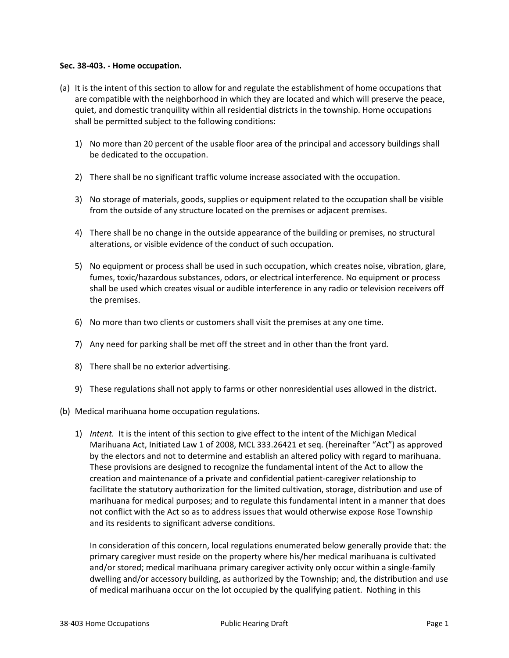## **Sec. 38-403. - Home occupation.**

- (a) It is the intent of this section to allow for and regulate the establishment of home occupations that are compatible with the neighborhood in which they are located and which will preserve the peace, quiet, and domestic tranquility within all residential districts in the township. Home occupations shall be permitted subject to the following conditions:
	- 1) No more than 20 percent of the usable floor area of the principal and accessory buildings shall be dedicated to the occupation.
	- 2) There shall be no significant traffic volume increase associated with the occupation.
	- 3) No storage of materials, goods, supplies or equipment related to the occupation shall be visible from the outside of any structure located on the premises or adjacent premises.
	- 4) There shall be no change in the outside appearance of the building or premises, no structural alterations, or visible evidence of the conduct of such occupation.
	- 5) No equipment or process shall be used in such occupation, which creates noise, vibration, glare, fumes, toxic/hazardous substances, odors, or electrical interference. No equipment or process shall be used which creates visual or audible interference in any radio or television receivers off the premises.
	- 6) No more than two clients or customers shall visit the premises at any one time.
	- 7) Any need for parking shall be met off the street and in other than the front yard.
	- 8) There shall be no exterior advertising.
	- 9) These regulations shall not apply to farms or other nonresidential uses allowed in the district.
- (b) Medical marihuana home occupation regulations.
	- 1) *Intent.* It is the intent of this section to give effect to the intent of the Michigan Medical Marihuana Act, Initiated Law 1 of 2008, MCL 333.26421 et seq. (hereinafter "Act") as approved by the electors and not to determine and establish an altered policy with regard to marihuana. These provisions are designed to recognize the fundamental intent of the Act to allow the creation and maintenance of a private and confidential patient-caregiver relationship to facilitate the statutory authorization for the limited cultivation, storage, distribution and use of marihuana for medical purposes; and to regulate this fundamental intent in a manner that does not conflict with the Act so as to address issues that would otherwise expose Rose Township and its residents to significant adverse conditions.

In consideration of this concern, local regulations enumerated below generally provide that: the primary caregiver must reside on the property where his/her medical marihuana is cultivated and/or stored; medical marihuana primary caregiver activity only occur within a single-family dwelling and/or accessory building, as authorized by the Township; and, the distribution and use of medical marihuana occur on the lot occupied by the qualifying patient. Nothing in this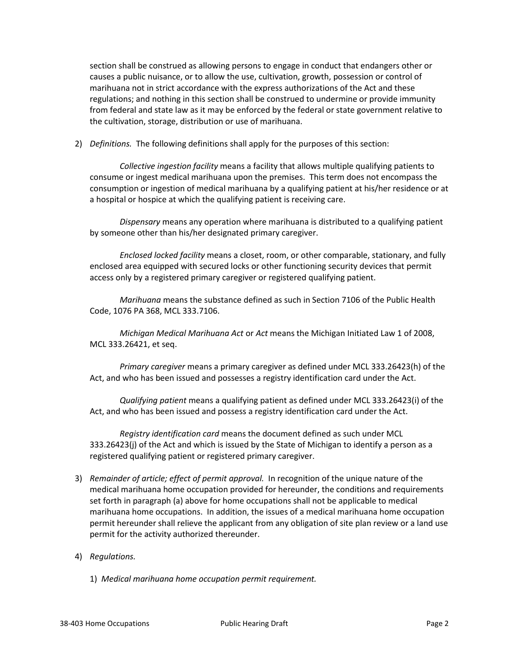section shall be construed as allowing persons to engage in conduct that endangers other or causes a public nuisance, or to allow the use, cultivation, growth, possession or control of marihuana not in strict accordance with the express authorizations of the Act and these regulations; and nothing in this section shall be construed to undermine or provide immunity from federal and state law as it may be enforced by the federal or state government relative to the cultivation, storage, distribution or use of marihuana.

2) *Definitions.* The following definitions shall apply for the purposes of this section:

*Collective ingestion facility* means a facility that allows multiple qualifying patients to consume or ingest medical marihuana upon the premises. This term does not encompass the consumption or ingestion of medical marihuana by a qualifying patient at his/her residence or at a hospital or hospice at which the qualifying patient is receiving care.

*Dispensary* means any operation where marihuana is distributed to a qualifying patient by someone other than his/her designated primary caregiver.

*Enclosed locked facility* means a closet, room, or other comparable, stationary, and fully enclosed area equipped with secured locks or other functioning security devices that permit access only by a registered primary caregiver or registered qualifying patient.

*Marihuana* means the substance defined as such in Section 7106 of the Public Health Code, 1076 PA 368, MCL 333.7106.

*Michigan Medical Marihuana Act* or *Act* means the Michigan Initiated Law 1 of 2008, MCL 333.26421, et seq.

*Primary caregiver* means a primary caregiver as defined under MCL 333.26423(h) of the Act, and who has been issued and possesses a registry identification card under the Act.

*Qualifying patient* means a qualifying patient as defined under MCL 333.26423(i) of the Act, and who has been issued and possess a registry identification card under the Act.

*Registry identification card* means the document defined as such under MCL 333.26423(j) of the Act and which is issued by the State of Michigan to identify a person as a registered qualifying patient or registered primary caregiver.

- 3) *Remainder of article; effect of permit approval.* In recognition of the unique nature of the medical marihuana home occupation provided for hereunder, the conditions and requirements set forth in paragraph (a) above for home occupations shall not be applicable to medical marihuana home occupations. In addition, the issues of a medical marihuana home occupation permit hereunder shall relieve the applicant from any obligation of site plan review or a land use permit for the activity authorized thereunder.
- 4) *Regulations.*
	- 1) *Medical marihuana home occupation permit requirement.*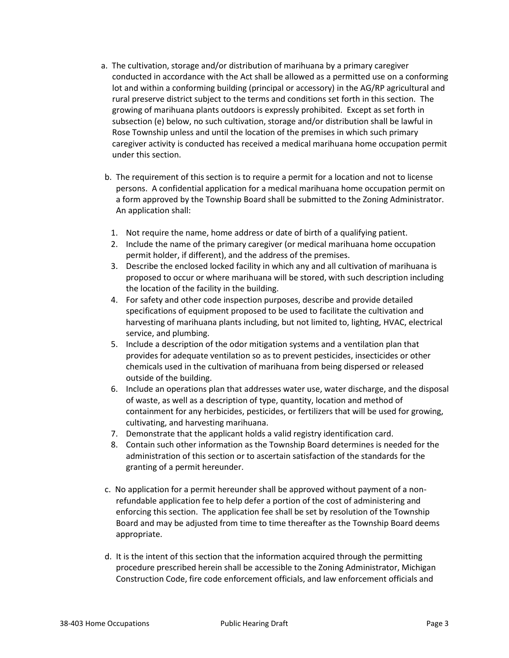- a. The cultivation, storage and/or distribution of marihuana by a primary caregiver conducted in accordance with the Act shall be allowed as a permitted use on a conforming lot and within a conforming building (principal or accessory) in the AG/RP agricultural and rural preserve district subject to the terms and conditions set forth in this section. The growing of marihuana plants outdoors is expressly prohibited. Except as set forth in subsection (e) below, no such cultivation, storage and/or distribution shall be lawful in Rose Township unless and until the location of the premises in which such primary caregiver activity is conducted has received a medical marihuana home occupation permit under this section.
- b. The requirement of this section is to require a permit for a location and not to license persons. A confidential application for a medical marihuana home occupation permit on a form approved by the Township Board shall be submitted to the Zoning Administrator. An application shall:
	- 1. Not require the name, home address or date of birth of a qualifying patient.
	- 2. Include the name of the primary caregiver (or medical marihuana home occupation permit holder, if different), and the address of the premises.
	- 3. Describe the enclosed locked facility in which any and all cultivation of marihuana is proposed to occur or where marihuana will be stored, with such description including the location of the facility in the building.
	- 4. For safety and other code inspection purposes, describe and provide detailed specifications of equipment proposed to be used to facilitate the cultivation and harvesting of marihuana plants including, but not limited to, lighting, HVAC, electrical service, and plumbing.
	- 5. Include a description of the odor mitigation systems and a ventilation plan that provides for adequate ventilation so as to prevent pesticides, insecticides or other chemicals used in the cultivation of marihuana from being dispersed or released outside of the building.
	- 6. Include an operations plan that addresses water use, water discharge, and the disposal of waste, as well as a description of type, quantity, location and method of containment for any herbicides, pesticides, or fertilizers that will be used for growing, cultivating, and harvesting marihuana.
	- 7. Demonstrate that the applicant holds a valid registry identification card.
	- 8. Contain such other information as the Township Board determines is needed for the administration of this section or to ascertain satisfaction of the standards for the granting of a permit hereunder.
- c. No application for a permit hereunder shall be approved without payment of a nonrefundable application fee to help defer a portion of the cost of administering and enforcing this section. The application fee shall be set by resolution of the Township Board and may be adjusted from time to time thereafter as the Township Board deems appropriate.
- d. It is the intent of this section that the information acquired through the permitting procedure prescribed herein shall be accessible to the Zoning Administrator, Michigan Construction Code, fire code enforcement officials, and law enforcement officials and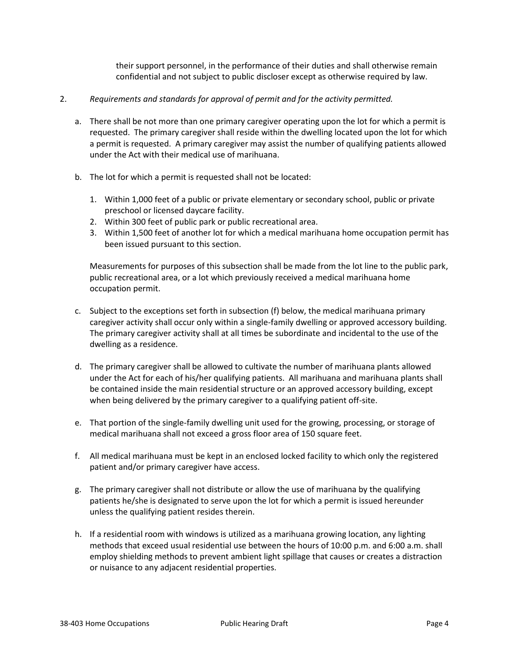their support personnel, in the performance of their duties and shall otherwise remain confidential and not subject to public discloser except as otherwise required by law.

## 2. *Requirements and standards for approval of permit and for the activity permitted.*

- a. There shall be not more than one primary caregiver operating upon the lot for which a permit is requested. The primary caregiver shall reside within the dwelling located upon the lot for which a permit is requested. A primary caregiver may assist the number of qualifying patients allowed under the Act with their medical use of marihuana.
- b. The lot for which a permit is requested shall not be located:
	- 1. Within 1,000 feet of a public or private elementary or secondary school, public or private preschool or licensed daycare facility.
	- 2. Within 300 feet of public park or public recreational area.
	- 3. Within 1,500 feet of another lot for which a medical marihuana home occupation permit has been issued pursuant to this section.

Measurements for purposes of this subsection shall be made from the lot line to the public park, public recreational area, or a lot which previously received a medical marihuana home occupation permit.

- c. Subject to the exceptions set forth in subsection (f) below, the medical marihuana primary caregiver activity shall occur only within a single-family dwelling or approved accessory building. The primary caregiver activity shall at all times be subordinate and incidental to the use of the dwelling as a residence.
- d. The primary caregiver shall be allowed to cultivate the number of marihuana plants allowed under the Act for each of his/her qualifying patients. All marihuana and marihuana plants shall be contained inside the main residential structure or an approved accessory building, except when being delivered by the primary caregiver to a qualifying patient off-site.
- e. That portion of the single-family dwelling unit used for the growing, processing, or storage of medical marihuana shall not exceed a gross floor area of 150 square feet.
- f. All medical marihuana must be kept in an enclosed locked facility to which only the registered patient and/or primary caregiver have access.
- g. The primary caregiver shall not distribute or allow the use of marihuana by the qualifying patients he/she is designated to serve upon the lot for which a permit is issued hereunder unless the qualifying patient resides therein.
- h. If a residential room with windows is utilized as a marihuana growing location, any lighting methods that exceed usual residential use between the hours of 10:00 p.m. and 6:00 a.m. shall employ shielding methods to prevent ambient light spillage that causes or creates a distraction or nuisance to any adjacent residential properties.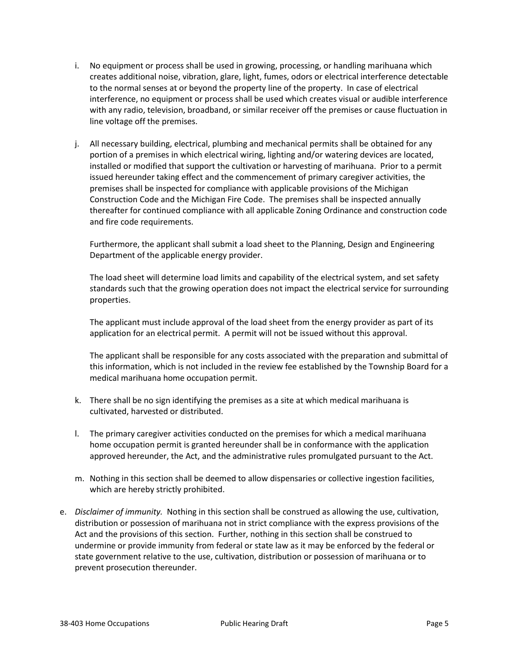- i. No equipment or process shall be used in growing, processing, or handling marihuana which creates additional noise, vibration, glare, light, fumes, odors or electrical interference detectable to the normal senses at or beyond the property line of the property. In case of electrical interference, no equipment or process shall be used which creates visual or audible interference with any radio, television, broadband, or similar receiver off the premises or cause fluctuation in line voltage off the premises.
- j. All necessary building, electrical, plumbing and mechanical permits shall be obtained for any portion of a premises in which electrical wiring, lighting and/or watering devices are located, installed or modified that support the cultivation or harvesting of marihuana. Prior to a permit issued hereunder taking effect and the commencement of primary caregiver activities, the premises shall be inspected for compliance with applicable provisions of the Michigan Construction Code and the Michigan Fire Code. The premises shall be inspected annually thereafter for continued compliance with all applicable Zoning Ordinance and construction code and fire code requirements.

Furthermore, the applicant shall submit a load sheet to the Planning, Design and Engineering Department of the applicable energy provider.

The load sheet will determine load limits and capability of the electrical system, and set safety standards such that the growing operation does not impact the electrical service for surrounding properties.

The applicant must include approval of the load sheet from the energy provider as part of its application for an electrical permit. A permit will not be issued without this approval.

The applicant shall be responsible for any costs associated with the preparation and submittal of this information, which is not included in the review fee established by the Township Board for a medical marihuana home occupation permit.

- k. There shall be no sign identifying the premises as a site at which medical marihuana is cultivated, harvested or distributed.
- l. The primary caregiver activities conducted on the premises for which a medical marihuana home occupation permit is granted hereunder shall be in conformance with the application approved hereunder, the Act, and the administrative rules promulgated pursuant to the Act.
- m. Nothing in this section shall be deemed to allow dispensaries or collective ingestion facilities, which are hereby strictly prohibited.
- e. *Disclaimer of immunity.* Nothing in this section shall be construed as allowing the use, cultivation, distribution or possession of marihuana not in strict compliance with the express provisions of the Act and the provisions of this section. Further, nothing in this section shall be construed to undermine or provide immunity from federal or state law as it may be enforced by the federal or state government relative to the use, cultivation, distribution or possession of marihuana or to prevent prosecution thereunder.